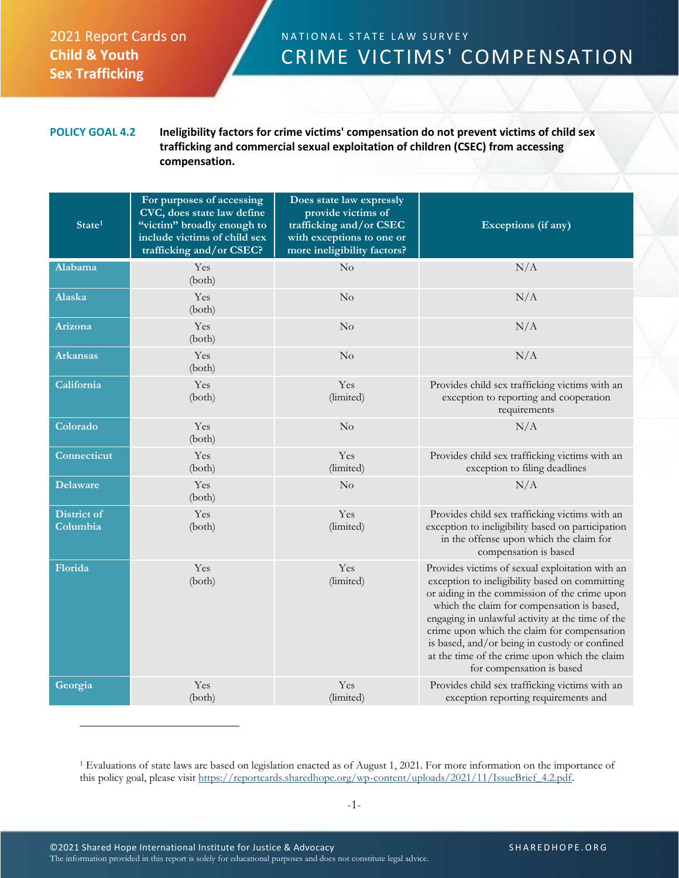## 2021 Report Cards on **Child & Youth Sex Trafficking**

## N A T I O N A L STATE LAW SURVEY CRIME VICTIMS' COMPENSATION

**POLICY GOAL 4.2 Ineligibility factors for crime victims' compensation do not prevent victims of child sex trafficking and commercial sexual exploitation of children (CSEC) from accessing compensation.**

| State <sup>1</sup>      | For purposes of accessing<br>CVC, does state law define<br>"victim" broadly enough to<br>include victims of child sex<br>trafficking and/or CSEC? | Does state law expressly<br>provide victims of<br>trafficking and/or CSEC<br>with exceptions to one or<br>more ineligibility factors? | Exceptions (if any)                                                                                                                                                                                                                                                                                                                                                                                                                |
|-------------------------|---------------------------------------------------------------------------------------------------------------------------------------------------|---------------------------------------------------------------------------------------------------------------------------------------|------------------------------------------------------------------------------------------------------------------------------------------------------------------------------------------------------------------------------------------------------------------------------------------------------------------------------------------------------------------------------------------------------------------------------------|
| <b>Alabama</b>          | Yes<br>(both)                                                                                                                                     | $\rm No$                                                                                                                              | N/A                                                                                                                                                                                                                                                                                                                                                                                                                                |
| Alaska                  | Yes<br>(both)                                                                                                                                     | $\rm No$                                                                                                                              | N/A                                                                                                                                                                                                                                                                                                                                                                                                                                |
| <b>Arizona</b>          | Yes<br>(both)                                                                                                                                     | No                                                                                                                                    | N/A                                                                                                                                                                                                                                                                                                                                                                                                                                |
| <b>Arkansas</b>         | Yes<br>(both)                                                                                                                                     | $\rm No$                                                                                                                              | N/A                                                                                                                                                                                                                                                                                                                                                                                                                                |
| California              | Yes<br>(both)                                                                                                                                     | Yes<br>(limited)                                                                                                                      | Provides child sex trafficking victims with an<br>exception to reporting and cooperation<br>requirements                                                                                                                                                                                                                                                                                                                           |
| Colorado                | Yes<br>(both)                                                                                                                                     | No                                                                                                                                    | N/A                                                                                                                                                                                                                                                                                                                                                                                                                                |
| Connecticut             | Yes<br>(both)                                                                                                                                     | Yes<br>(limited)                                                                                                                      | Provides child sex trafficking victims with an<br>exception to filing deadlines                                                                                                                                                                                                                                                                                                                                                    |
| <b>Delaware</b>         | Yes<br>(both)                                                                                                                                     | $\rm No$                                                                                                                              | N/A                                                                                                                                                                                                                                                                                                                                                                                                                                |
| District of<br>Columbia | Yes<br>(both)                                                                                                                                     | Yes<br>(limited)                                                                                                                      | Provides child sex trafficking victims with an<br>exception to ineligibility based on participation<br>in the offense upon which the claim for<br>compensation is based                                                                                                                                                                                                                                                            |
| Florida                 | Yes<br>(both)                                                                                                                                     | Yes<br>(limited)                                                                                                                      | Provides victims of sexual exploitation with an<br>exception to ineligibility based on committing<br>or aiding in the commission of the crime upon<br>which the claim for compensation is based,<br>engaging in unlawful activity at the time of the<br>crime upon which the claim for compensation<br>is based, and/or being in custody or confined<br>at the time of the crime upon which the claim<br>for compensation is based |
| Georgia                 | Yes<br>(both)                                                                                                                                     | Yes<br>(limited)                                                                                                                      | Provides child sex trafficking victims with an<br>exception reporting requirements and                                                                                                                                                                                                                                                                                                                                             |

<sup>1</sup> Evaluations of state laws are based on legislation enacted as of August 1, 2021. For more information on the importance of this policy goal, please visit [https://reportcards.sharedhope.org/wp-content/uploads/2021/11/IssueBrief\\_4.2.pdf.](https://reportcards.sharedhope.org/wp-content/uploads/2021/11/IssueBrief_4.2.pdf)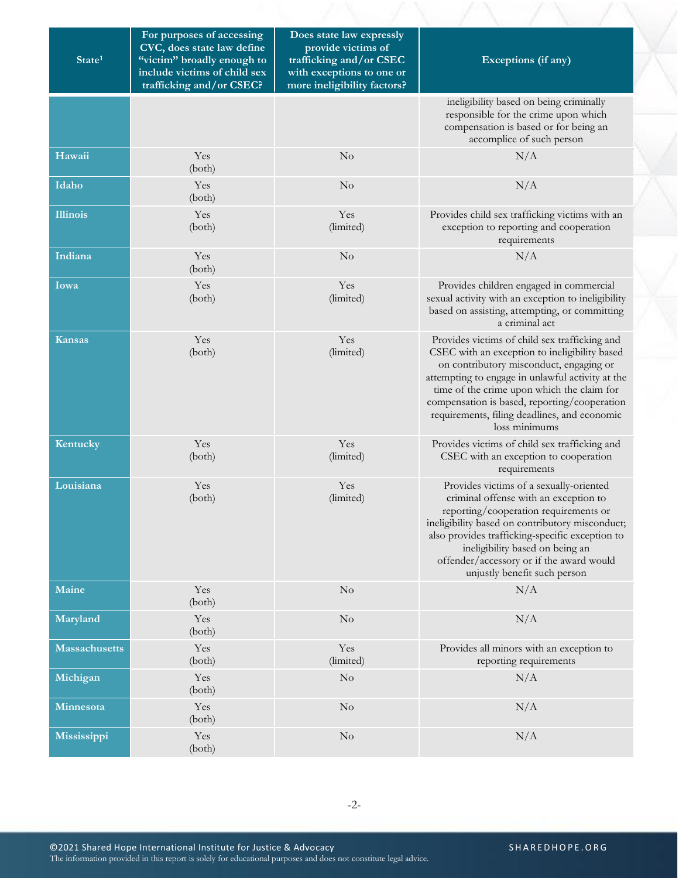| State <sup>1</sup>   | For purposes of accessing<br>CVC, does state law define<br>"victim" broadly enough to<br>include victims of child sex<br>trafficking and/or CSEC? | Does state law expressly<br>provide victims of<br>trafficking and/or CSEC<br>with exceptions to one or<br>more ineligibility factors? | Exceptions (if any)                                                                                                                                                                                                                                                                                                                                          |
|----------------------|---------------------------------------------------------------------------------------------------------------------------------------------------|---------------------------------------------------------------------------------------------------------------------------------------|--------------------------------------------------------------------------------------------------------------------------------------------------------------------------------------------------------------------------------------------------------------------------------------------------------------------------------------------------------------|
|                      |                                                                                                                                                   |                                                                                                                                       | ineligibility based on being criminally<br>responsible for the crime upon which<br>compensation is based or for being an<br>accomplice of such person                                                                                                                                                                                                        |
| Hawaii               | Yes<br>(both)                                                                                                                                     | $\rm No$                                                                                                                              | N/A                                                                                                                                                                                                                                                                                                                                                          |
| Idaho                | Yes<br>(both)                                                                                                                                     | $\rm No$                                                                                                                              | N/A                                                                                                                                                                                                                                                                                                                                                          |
| <b>Illinois</b>      | Yes<br>(both)                                                                                                                                     | Yes<br>(limited)                                                                                                                      | Provides child sex trafficking victims with an<br>exception to reporting and cooperation<br>requirements                                                                                                                                                                                                                                                     |
| Indiana              | Yes<br>(both)                                                                                                                                     | No                                                                                                                                    | N/A                                                                                                                                                                                                                                                                                                                                                          |
| Iowa                 | Yes<br>(both)                                                                                                                                     | Yes<br>(limited)                                                                                                                      | Provides children engaged in commercial<br>sexual activity with an exception to ineligibility<br>based on assisting, attempting, or committing<br>a criminal act                                                                                                                                                                                             |
| <b>Kansas</b>        | Yes<br>(both)                                                                                                                                     | Yes<br>(limited)                                                                                                                      | Provides victims of child sex trafficking and<br>CSEC with an exception to ineligibility based<br>on contributory misconduct, engaging or<br>attempting to engage in unlawful activity at the<br>time of the crime upon which the claim for<br>compensation is based, reporting/cooperation<br>requirements, filing deadlines, and economic<br>loss minimums |
| Kentucky             | Yes<br>(both)                                                                                                                                     | Yes<br>(limited)                                                                                                                      | Provides victims of child sex trafficking and<br>CSEC with an exception to cooperation<br>requirements                                                                                                                                                                                                                                                       |
| Louisiana            | Yes<br>(both)                                                                                                                                     | Yes<br>(limited)                                                                                                                      | Provides victims of a sexually-oriented<br>criminal offense with an exception to<br>reporting/cooperation requirements or<br>ineligibility based on contributory misconduct;<br>also provides trafficking-specific exception to<br>ineligibility based on being an<br>offender/accessory or if the award would<br>unjustly benefit such person               |
| Maine                | Yes<br>(both)                                                                                                                                     | No                                                                                                                                    | N/A                                                                                                                                                                                                                                                                                                                                                          |
| Maryland             | Yes<br>(both)                                                                                                                                     | $\rm No$                                                                                                                              | N/A                                                                                                                                                                                                                                                                                                                                                          |
| <b>Massachusetts</b> | Yes<br>(both)                                                                                                                                     | Yes<br>(limited)                                                                                                                      | Provides all minors with an exception to<br>reporting requirements                                                                                                                                                                                                                                                                                           |
| Michigan             | Yes<br>(both)                                                                                                                                     | No                                                                                                                                    | N/A                                                                                                                                                                                                                                                                                                                                                          |
| Minnesota            | Yes<br>(both)                                                                                                                                     | $\rm No$                                                                                                                              | N/A                                                                                                                                                                                                                                                                                                                                                          |
| Mississippi          | Yes<br>(both)                                                                                                                                     | $\rm No$                                                                                                                              | N/A                                                                                                                                                                                                                                                                                                                                                          |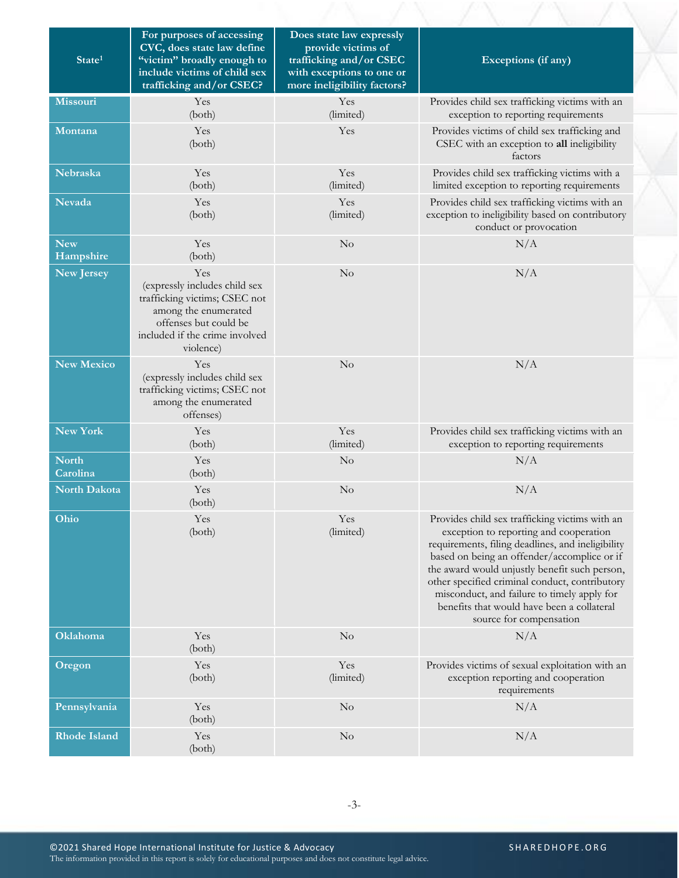| State <sup>1</sup>       | For purposes of accessing<br>CVC, does state law define<br>"victim" broadly enough to<br>include victims of child sex<br>trafficking and/or CSEC?                     | Does state law expressly<br>provide victims of<br>trafficking and/or CSEC<br>with exceptions to one or<br>more ineligibility factors? | Exceptions (if any)                                                                                                                                                                                                                                                                                                                                                                                                     |
|--------------------------|-----------------------------------------------------------------------------------------------------------------------------------------------------------------------|---------------------------------------------------------------------------------------------------------------------------------------|-------------------------------------------------------------------------------------------------------------------------------------------------------------------------------------------------------------------------------------------------------------------------------------------------------------------------------------------------------------------------------------------------------------------------|
| <b>Missouri</b>          | Yes<br>(both)                                                                                                                                                         | Yes<br>(limited)                                                                                                                      | Provides child sex trafficking victims with an<br>exception to reporting requirements                                                                                                                                                                                                                                                                                                                                   |
| Montana                  | Yes<br>(both)                                                                                                                                                         | Yes                                                                                                                                   | Provides victims of child sex trafficking and<br>CSEC with an exception to all ineligibility<br>factors                                                                                                                                                                                                                                                                                                                 |
| Nebraska                 | Yes<br>(both)                                                                                                                                                         | Yes<br>(limited)                                                                                                                      | Provides child sex trafficking victims with a<br>limited exception to reporting requirements                                                                                                                                                                                                                                                                                                                            |
| <b>Nevada</b>            | Yes<br>(both)                                                                                                                                                         | Yes<br>(limited)                                                                                                                      | Provides child sex trafficking victims with an<br>exception to ineligibility based on contributory<br>conduct or provocation                                                                                                                                                                                                                                                                                            |
| <b>New</b><br>Hampshire  | Yes<br>(both)                                                                                                                                                         | No                                                                                                                                    | N/A                                                                                                                                                                                                                                                                                                                                                                                                                     |
| <b>New Jersey</b>        | Yes<br>(expressly includes child sex<br>trafficking victims; CSEC not<br>among the enumerated<br>offenses but could be<br>included if the crime involved<br>violence) | No                                                                                                                                    | N/A                                                                                                                                                                                                                                                                                                                                                                                                                     |
| <b>New Mexico</b>        | Yes<br>(expressly includes child sex<br>trafficking victims; CSEC not<br>among the enumerated<br>offenses)                                                            | No                                                                                                                                    | N/A                                                                                                                                                                                                                                                                                                                                                                                                                     |
| New York                 | Yes<br>(both)                                                                                                                                                         | Yes<br>(limited)                                                                                                                      | Provides child sex trafficking victims with an<br>exception to reporting requirements                                                                                                                                                                                                                                                                                                                                   |
| <b>North</b><br>Carolina | Yes<br>(both)                                                                                                                                                         | No                                                                                                                                    | N/A                                                                                                                                                                                                                                                                                                                                                                                                                     |
| North Dakota             | Yes<br>(both)                                                                                                                                                         | No                                                                                                                                    | N/A                                                                                                                                                                                                                                                                                                                                                                                                                     |
| Ohio                     | Yes<br>(both)                                                                                                                                                         | Yes<br>(limited)                                                                                                                      | Provides child sex trafficking victims with an<br>exception to reporting and cooperation<br>requirements, filing deadlines, and ineligibility<br>based on being an offender/accomplice or if<br>the award would unjustly benefit such person,<br>other specified criminal conduct, contributory<br>misconduct, and failure to timely apply for<br>benefits that would have been a collateral<br>source for compensation |
| <b>Oklahoma</b>          | Yes<br>(both)                                                                                                                                                         | No                                                                                                                                    | N/A                                                                                                                                                                                                                                                                                                                                                                                                                     |
| Oregon                   | Yes<br>(both)                                                                                                                                                         | Yes<br>(limited)                                                                                                                      | Provides victims of sexual exploitation with an<br>exception reporting and cooperation<br>requirements                                                                                                                                                                                                                                                                                                                  |
| Pennsylvania             | Yes<br>(both)                                                                                                                                                         | $\rm No$                                                                                                                              | N/A                                                                                                                                                                                                                                                                                                                                                                                                                     |
| <b>Rhode Island</b>      | Yes<br>(both)                                                                                                                                                         | $\rm No$                                                                                                                              | N/A                                                                                                                                                                                                                                                                                                                                                                                                                     |